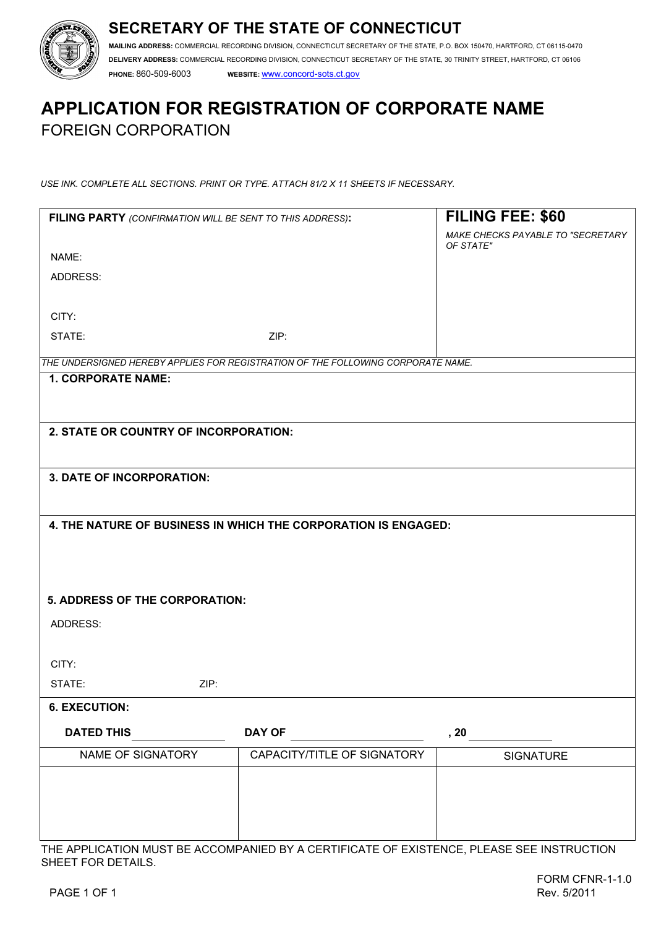## **SECRETARY OF THE STATE OF CONNECTICUT**



**MAILING ADDRESS:** COMMERCIAL RECORDING DIVISION, CONNECTICUT SECRETARY OF THE STATE, P.O. BOX 150470, HARTFORD, CT 06115-0470 **DELIVERY ADDRESS:** COMMERCIAL RECORDING DIVISION, CONNECTICUT SECRETARY OF THE STATE, 30 TRINITY STREET, HARTFORD, CT 06106 **PHONE:** 860-509-6003 **WEBSITE:** www.concord-sots.ct.gov

# **APPLICATION FOR REGISTRATION OF CORPORATE NAME**  FOREIGN CORPORATION

*USE INK. COMPLETE ALL SECTIONS. PRINT OR TYPE. ATTACH 81/2 X 11 SHEETS IF NECESSARY.*

| FILING PARTY (CONFIRMATION WILL BE SENT TO THIS ADDRESS):                        |                             | FILING FEE: \$60                               |
|----------------------------------------------------------------------------------|-----------------------------|------------------------------------------------|
|                                                                                  |                             | MAKE CHECKS PAYABLE TO "SECRETARY<br>OF STATE" |
| NAME:                                                                            |                             |                                                |
| ADDRESS:                                                                         |                             |                                                |
|                                                                                  |                             |                                                |
| CITY:                                                                            |                             |                                                |
| STATE:                                                                           | ZIP:                        |                                                |
| THE UNDERSIGNED HEREBY APPLIES FOR REGISTRATION OF THE FOLLOWING CORPORATE NAME. |                             |                                                |
| <b>1. CORPORATE NAME:</b>                                                        |                             |                                                |
|                                                                                  |                             |                                                |
| 2. STATE OR COUNTRY OF INCORPORATION:                                            |                             |                                                |
|                                                                                  |                             |                                                |
| 3. DATE OF INCORPORATION:                                                        |                             |                                                |
|                                                                                  |                             |                                                |
|                                                                                  |                             |                                                |
| 4. THE NATURE OF BUSINESS IN WHICH THE CORPORATION IS ENGAGED:                   |                             |                                                |
|                                                                                  |                             |                                                |
|                                                                                  |                             |                                                |
| 5. ADDRESS OF THE CORPORATION:                                                   |                             |                                                |
|                                                                                  |                             |                                                |
| ADDRESS:                                                                         |                             |                                                |
| CITY:                                                                            |                             |                                                |
| ZIP:<br>STATE:                                                                   |                             |                                                |
|                                                                                  |                             |                                                |
| <b>6. EXECUTION:</b>                                                             |                             |                                                |
| <b>DATED THIS</b>                                                                | <b>DAY OF</b>               | , 20                                           |
| NAME OF SIGNATORY                                                                | CAPACITY/TITLE OF SIGNATORY | <b>SIGNATURE</b>                               |
|                                                                                  |                             |                                                |
|                                                                                  |                             |                                                |
|                                                                                  |                             |                                                |
|                                                                                  |                             |                                                |

THE APPLICATION MUST BE ACCOMPANIED BY A CERTIFICATE OF EXISTENCE, PLEASE SEE INSTRUCTION SHEET FOR DETAILS.